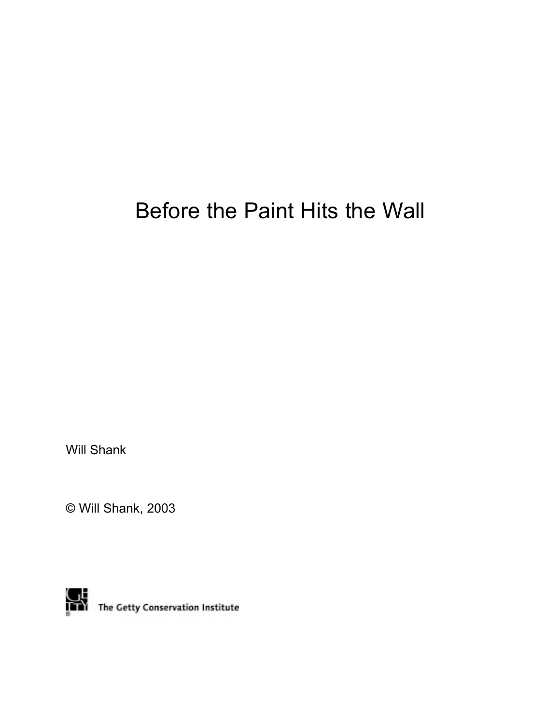# Before the Paint Hits the Wall

Will Shank

© Will Shank, 2003



The Getty Conservation Institute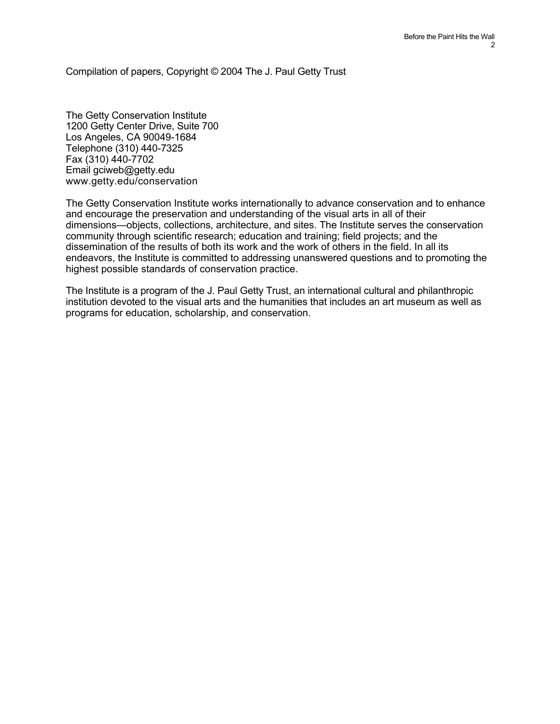Compilation of papers, Copyright © 2004 The J. Paul Getty Trust

The Getty Conservation Institute 1200 Getty Center Drive, Suite 700 Los Angeles, CA 90049-1684 Telephone (310) 440-7325 Fax (310) 440-7702 Email gciweb@getty.edu www.getty.edu/conservation

The Getty Conservation Institute works internationally to advance conservation and to enhance and encourage the preservation and understanding of the visual arts in all of their dimensions—objects, collections, architecture, and sites. The Institute serves the conservation community through scientific research; education and training; field projects; and the dissemination of the results of both its work and the work of others in the field. In all its endeavors, the Institute is committed to addressing unanswered questions and to promoting the highest possible standards of conservation practice.

The Institute is a program of the J. Paul Getty Trust, an international cultural and philanthropic institution devoted to the visual arts and the humanities that includes an art museum as well as programs for education, scholarship, and conservation.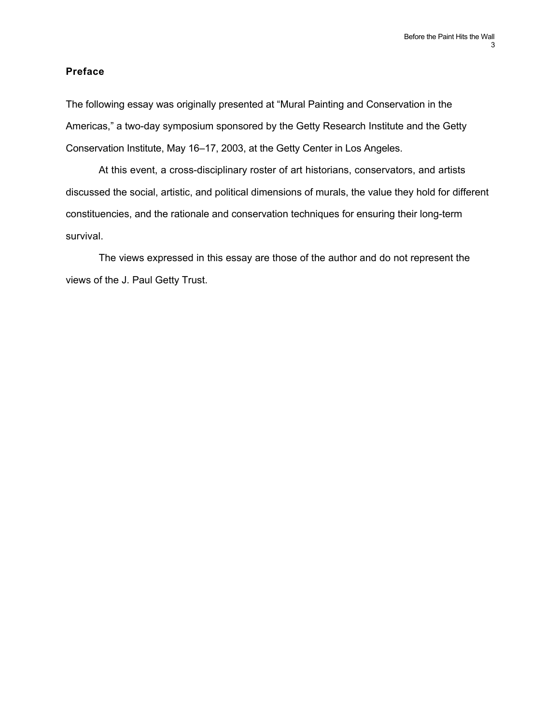## **Preface**

The following essay was originally presented at "Mural Painting and Conservation in the Americas," a two-day symposium sponsored by the Getty Research Institute and the Getty Conservation Institute, May 16–17, 2003, at the Getty Center in Los Angeles.

At this event, a cross-disciplinary roster of art historians, conservators, and artists discussed the social, artistic, and political dimensions of murals, the value they hold for different constituencies, and the rationale and conservation techniques for ensuring their long-term survival.

The views expressed in this essay are those of the author and do not represent the views of the J. Paul Getty Trust.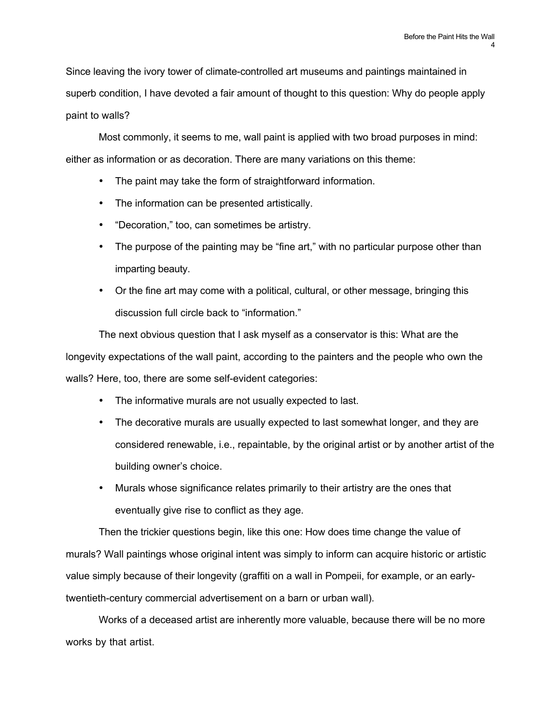Since leaving the ivory tower of climate-controlled art museums and paintings maintained in superb condition, I have devoted a fair amount of thought to this question: Why do people apply paint to walls?

Most commonly, it seems to me, wall paint is applied with two broad purposes in mind: either as information or as decoration. There are many variations on this theme:

The paint may take the form of straightforward information.

The information can be presented artistically.

"Decoration," too, can sometimes be artistry.

The purpose of the painting may be "fine art," with no particular purpose other than imparting beauty.

Or the fine art may come with a political, cultural, or other message, bringing this discussion full circle back to "information."

The next obvious question that I ask myself as a conservator is this: What are the longevity expectations of the wall paint, according to the painters and the people who own the walls? Here, too, there are some self-evident categories:

The informative murals are not usually expected to last.

The decorative murals are usually expected to last somewhat longer, and they are considered renewable, i.e., repaintable, by the original artist or by another artist of the building owner's choice.

Murals whose significance relates primarily to their artistry are the ones that eventually give rise to conflict as they age.

Then the trickier questions begin, like this one: How does time change the value of murals? Wall paintings whose original intent was simply to inform can acquire historic or artistic value simply because of their longevity (graffiti on a wall in Pompeii, for example, or an earlytwentieth-century commercial advertisement on a barn or urban wall).

Works of a deceased artist are inherently more valuable, because there will be no more works by that artist.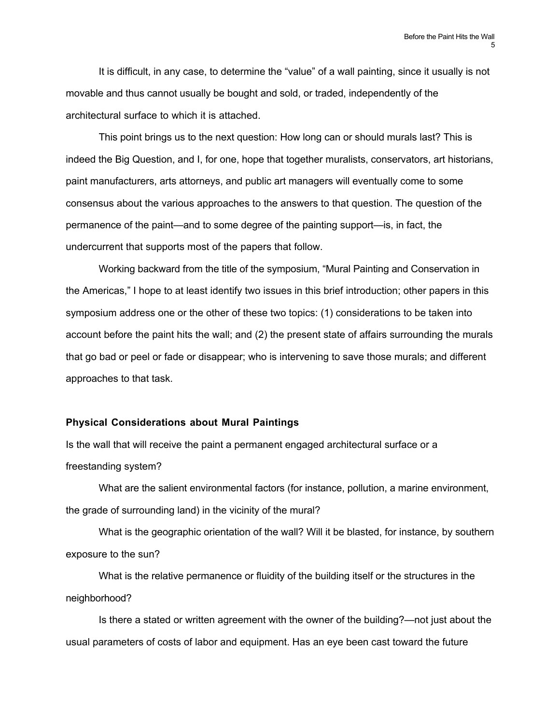It is difficult, in any case, to determine the "value" of a wall painting, since it usually is not movable and thus cannot usually be bought and sold, or traded, independently of the architectural surface to which it is attached.

This point brings us to the next question: How long can or should murals last? This is indeed the Big Question, and I, for one, hope that together muralists, conservators, art historians, paint manufacturers, arts attorneys, and public art managers will eventually come to some consensus about the various approaches to the answers to that question. The question of the permanence of the paint—and to some degree of the painting support—is, in fact, the undercurrent that supports most of the papers that follow.

Working backward from the title of the symposium, "Mural Painting and Conservation in the Americas," I hope to at least identify two issues in this brief introduction; other papers in this symposium address one or the other of these two topics: (1) considerations to be taken into account before the paint hits the wall; and (2) the present state of affairs surrounding the murals that go bad or peel or fade or disappear; who is intervening to save those murals; and different approaches to that task.

### **Physical Considerations about Mural Paintings**

Is the wall that will receive the paint a permanent engaged architectural surface or a freestanding system?

What are the salient environmental factors (for instance, pollution, a marine environment, the grade of surrounding land) in the vicinity of the mural?

What is the geographic orientation of the wall? Will it be blasted, for instance, by southern exposure to the sun?

What is the relative permanence or fluidity of the building itself or the structures in the neighborhood?

Is there a stated or written agreement with the owner of the building?—not just about the usual parameters of costs of labor and equipment. Has an eye been cast toward the future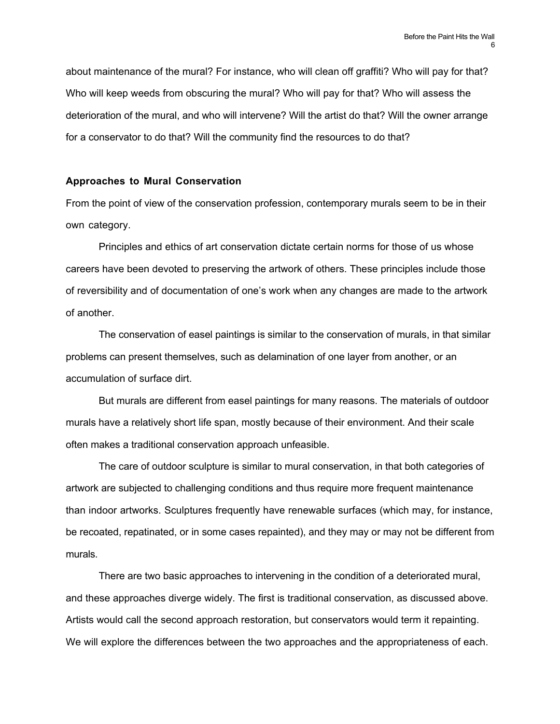about maintenance of the mural? For instance, who will clean off graffiti? Who will pay for that? Who will keep weeds from obscuring the mural? Who will pay for that? Who will assess the deterioration of the mural, and who will intervene? Will the artist do that? Will the owner arrange for a conservator to do that? Will the community find the resources to do that?

## **Approaches to Mural Conservation**

From the point of view of the conservation profession, contemporary murals seem to be in their own category.

Principles and ethics of art conservation dictate certain norms for those of us whose careers have been devoted to preserving the artwork of others. These principles include those of reversibility and of documentation of one's work when any changes are made to the artwork of another.

The conservation of easel paintings is similar to the conservation of murals, in that similar problems can present themselves, such as delamination of one layer from another, or an accumulation of surface dirt.

But murals are different from easel paintings for many reasons. The materials of outdoor murals have a relatively short life span, mostly because of their environment. And their scale often makes a traditional conservation approach unfeasible.

The care of outdoor sculpture is similar to mural conservation, in that both categories of artwork are subjected to challenging conditions and thus require more frequent maintenance than indoor artworks. Sculptures frequently have renewable surfaces (which may, for instance, be recoated, repatinated, or in some cases repainted), and they may or may not be different from murals.

There are two basic approaches to intervening in the condition of a deteriorated mural, and these approaches diverge widely. The first is traditional conservation, as discussed above. Artists would call the second approach restoration, but conservators would term it repainting. We will explore the differences between the two approaches and the appropriateness of each.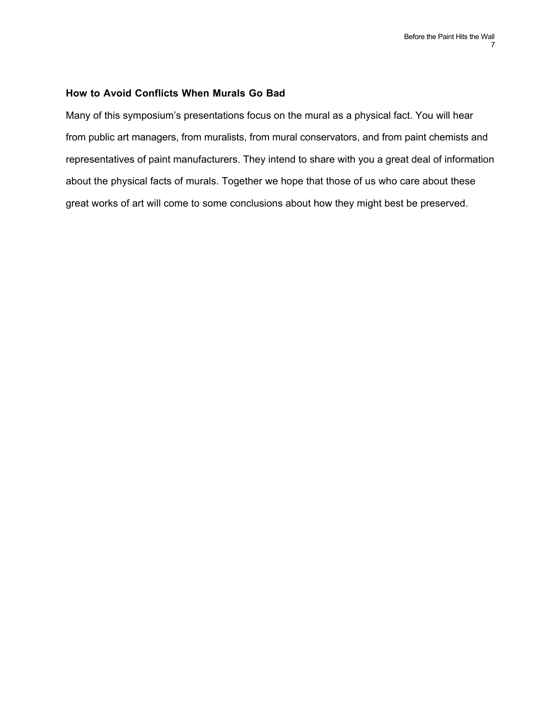#### **How to Avoid Conflicts When Murals Go Bad**

Many of this symposium's presentations focus on the mural as a physical fact. You will hear from public art managers, from muralists, from mural conservators, and from paint chemists and representatives of paint manufacturers. They intend to share with you a great deal of information about the physical facts of murals. Together we hope that those of us who care about these great works of art will come to some conclusions about how they might best be preserved.